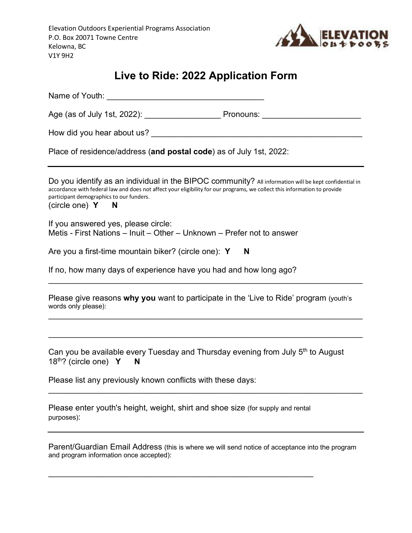

# **Live to Ride: 2022 Application Form**

Name of Youth: \_\_\_\_\_\_\_\_\_\_\_\_\_\_\_\_\_\_\_\_\_\_\_\_\_\_\_\_\_\_\_\_\_\_\_

Age (as of July 1st, 2022): \_\_\_\_\_\_\_\_\_\_\_\_\_\_\_\_\_ Pronouns: \_\_\_\_\_\_\_\_\_\_\_\_\_\_\_\_\_\_\_\_\_\_

How did you hear about us? **Example 20** Figure 20 Figure 20 Figure 20 Figure 20 Figure 20 Figure 20 Figure 20 Figure 20 Figure 20 Figure 20 Figure 20 Figure 20 Figure 20 Figure 20 Figure 20 Figure 20 Figure 20 Figure 20 Fi

Place of residence/address (**and postal code**) as of July 1st, 2022:

Do you identify as an individual in the BIPOC community? All information will be kept confidential in accordance with federal law and does not affect your eligibility for our programs, we collect this information to provide participant demographics to our funders. (circle one) **Y N**

If you answered yes, please circle: Metis - First Nations – Inuit – Other – Unknown – Prefer not to answer

Are you a first-time mountain biker? (circle one): Y N

If no, how many days of experience have you had and how long ago?

Please give reasons **why you** want to participate in the 'Live to Ride' program (youth's words only please):

\_\_\_\_\_\_\_\_\_\_\_\_\_\_\_\_\_\_\_\_\_\_\_\_\_\_\_\_\_\_\_\_\_\_\_\_\_\_\_\_\_\_\_\_\_\_\_\_\_\_\_\_\_\_\_\_\_\_\_\_\_\_\_\_\_\_\_\_\_\_

 $\mathcal{L}_\text{max} = \frac{1}{2} \sum_{i=1}^{n} \frac{1}{2} \sum_{i=1}^{n} \frac{1}{2} \sum_{i=1}^{n} \frac{1}{2} \sum_{i=1}^{n} \frac{1}{2} \sum_{i=1}^{n} \frac{1}{2} \sum_{i=1}^{n} \frac{1}{2} \sum_{i=1}^{n} \frac{1}{2} \sum_{i=1}^{n} \frac{1}{2} \sum_{i=1}^{n} \frac{1}{2} \sum_{i=1}^{n} \frac{1}{2} \sum_{i=1}^{n} \frac{1}{2} \sum_{i=1}^{n} \frac{1$ 

\_\_\_\_\_\_\_\_\_\_\_\_\_\_\_\_\_\_\_\_\_\_\_\_\_\_\_\_\_\_\_\_\_\_\_\_\_\_\_\_\_\_\_\_\_\_\_\_\_\_\_\_\_\_\_\_\_\_\_\_\_\_\_\_\_\_\_\_\_\_

\_\_\_\_\_\_\_\_\_\_\_\_\_\_\_\_\_\_\_\_\_\_\_\_\_\_\_\_\_\_\_\_\_\_\_\_\_\_\_\_\_\_\_\_\_\_\_\_\_\_\_\_\_\_\_\_\_\_\_\_\_\_\_\_\_\_\_\_\_\_

Can you be available every Tuesday and Thursday evening from July 5<sup>th</sup> to August 18th? (circle one) **Y N**

Please list any previously known conflicts with these days:

Please enter youth's height, weight, shirt and shoe size (for supply and rental purposes):

 $\mathcal{L}_\text{max}$  , and the contribution of the contribution of the contribution of the contribution of the contribution of the contribution of the contribution of the contribution of the contribution of the contribution of t

| Parent/Guardian Email Address (this is where we will send notice of acceptance into the program |  |
|-------------------------------------------------------------------------------------------------|--|
| and program information once accepted):                                                         |  |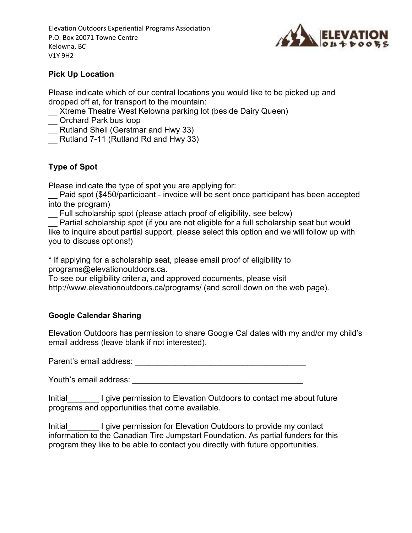Elevation Outdoors Experiential Programs Association P.O. Box 20071 Towne Centre Kelowna, BC V1Y 9H2



## **Pick Up Location**

Please indicate which of our central locations you would like to be picked up and dropped off at, for transport to the mountain:

- Xtreme Theatre West Kelowna parking lot (beside Dairy Queen)
- \_\_ Orchard Park bus loop
- Rutland Shell (Gerstmar and Hwy 33)
- $\overline{\phantom{a}}$  Rutland 7-11 (Rutland Rd and Hwy 33)

## **Type of Spot**

Please indicate the type of spot you are applying for:

Paid spot (\$450/participant - invoice will be sent once participant has been accepted into the program)

\_\_ Full scholarship spot (please attach proof of eligibility, see below)

Partial scholarship spot (if you are not eligible for a full scholarship seat but would like to inquire about partial support, please select this option and we will follow up with you to discuss options!)

\* If applying for a scholarship seat, please email proof of eligibility to programs@elevationoutdoors.ca.

To see our eligibility criteria, and approved documents, please visit http://www.elevationoutdoors.ca/programs/ (and scroll down on the web page).

## **Google Calendar Sharing**

Elevation Outdoors has permission to share Google Cal dates with my and/or my child's email address (leave blank if not interested).

Parent's email address: **Example 2018** 

Youth's email address: \_\_\_\_\_\_\_\_\_\_\_\_\_\_\_\_\_\_\_\_\_\_\_\_\_\_\_\_\_\_\_\_\_\_\_\_\_\_

Initial I give permission to Elevation Outdoors to contact me about future programs and opportunities that come available.

Initial\_\_\_\_\_\_\_ I give permission for Elevation Outdoors to provide my contact information to the Canadian Tire Jumpstart Foundation. As partial funders for this program they like to be able to contact you directly with future opportunities.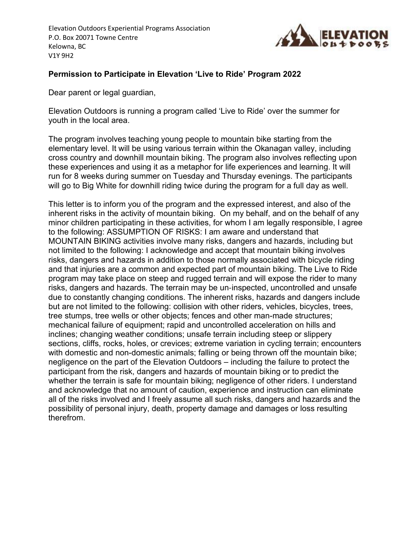

### **Permission to Participate in Elevation 'Live to Ride' Program 2022**

Dear parent or legal guardian,

Elevation Outdoors is running a program called 'Live to Ride' over the summer for youth in the local area.

The program involves teaching young people to mountain bike starting from the elementary level. It will be using various terrain within the Okanagan valley, including cross country and downhill mountain biking. The program also involves reflecting upon these experiences and using it as a metaphor for life experiences and learning. It will run for 8 weeks during summer on Tuesday and Thursday evenings. The participants will go to Big White for downhill riding twice during the program for a full day as well.

This letter is to inform you of the program and the expressed interest, and also of the inherent risks in the activity of mountain biking. On my behalf, and on the behalf of any minor children participating in these activities, for whom I am legally responsible, I agree to the following: ASSUMPTION OF RISKS: I am aware and understand that MOUNTAIN BIKING activities involve many risks, dangers and hazards, including but not limited to the following: I acknowledge and accept that mountain biking involves risks, dangers and hazards in addition to those normally associated with bicycle riding and that injuries are a common and expected part of mountain biking. The Live to Ride program may take place on steep and rugged terrain and will expose the rider to many risks, dangers and hazards. The terrain may be un-inspected, uncontrolled and unsafe due to constantly changing conditions. The inherent risks, hazards and dangers include but are not limited to the following: collision with other riders, vehicles, bicycles, trees, tree stumps, tree wells or other objects; fences and other man-made structures; mechanical failure of equipment; rapid and uncontrolled acceleration on hills and inclines; changing weather conditions; unsafe terrain including steep or slippery sections, cliffs, rocks, holes, or crevices; extreme variation in cycling terrain; encounters with domestic and non-domestic animals; falling or being thrown off the mountain bike; negligence on the part of the Elevation Outdoors – including the failure to protect the participant from the risk, dangers and hazards of mountain biking or to predict the whether the terrain is safe for mountain biking; negligence of other riders. I understand and acknowledge that no amount of caution, experience and instruction can eliminate all of the risks involved and I freely assume all such risks, dangers and hazards and the possibility of personal injury, death, property damage and damages or loss resulting therefrom.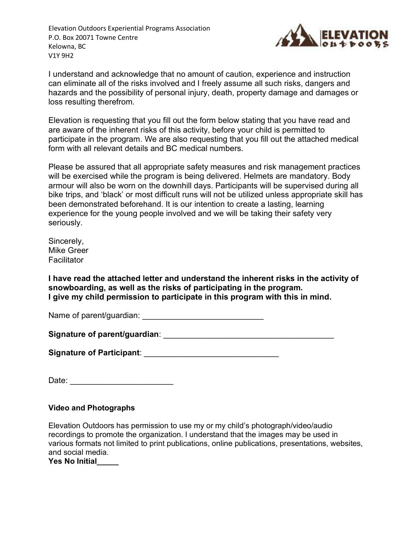Elevation Outdoors Experiential Programs Association P.O. Box 20071 Towne Centre Kelowna, BC V1Y 9H2



I understand and acknowledge that no amount of caution, experience and instruction can eliminate all of the risks involved and I freely assume all such risks, dangers and hazards and the possibility of personal injury, death, property damage and damages or loss resulting therefrom.

Elevation is requesting that you fill out the form below stating that you have read and are aware of the inherent risks of this activity, before your child is permitted to participate in the program. We are also requesting that you fill out the attached medical form with all relevant details and BC medical numbers.

Please be assured that all appropriate safety measures and risk management practices will be exercised while the program is being delivered. Helmets are mandatory. Body armour will also be worn on the downhill days. Participants will be supervised during all bike trips, and 'black' or most difficult runs will not be utilized unless appropriate skill has been demonstrated beforehand. It is our intention to create a lasting, learning experience for the young people involved and we will be taking their safety very seriously.

Sincerely, Mike Greer **Facilitator** 

**I have read the attached letter and understand the inherent risks in the activity of snowboarding, as well as the risks of participating in the program. I give my child permission to participate in this program with this in mind.**

Name of parent/guardian: \_\_\_\_\_\_\_\_\_\_\_\_\_\_\_\_\_\_\_\_\_\_\_\_\_\_\_

**Signature of parent/guardian**: \_\_\_\_\_\_\_\_\_\_\_\_\_\_\_\_\_\_\_\_\_\_\_\_\_\_\_\_\_\_\_\_\_\_\_\_\_\_

| <b>Signature of Participant:</b> |  |
|----------------------------------|--|
|                                  |  |

Date:  $\Box$ 

#### **Video and Photographs**

Elevation Outdoors has permission to use my or my child's photograph/video/audio recordings to promote the organization. I understand that the images may be used in various formats not limited to print publications, online publications, presentations, websites, and social media.

**Yes No Initial\_\_\_\_\_**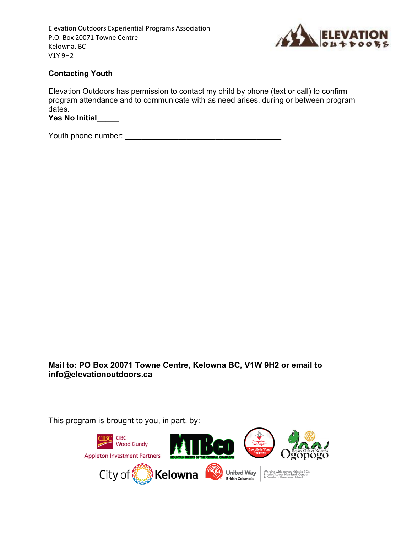

#### **Contacting Youth**

Elevation Outdoors has permission to contact my child by phone (text or call) to confirm program attendance and to communicate with as need arises, during or between program dates.

**Yes No Initial\_\_\_\_\_**

Youth phone number:  $\blacksquare$ 

**Mail to: PO Box 20071 Towne Centre, Kelowna BC, V1W 9H2 or email to info@elevationoutdoors.ca**

This program is brought to you, in part, by:

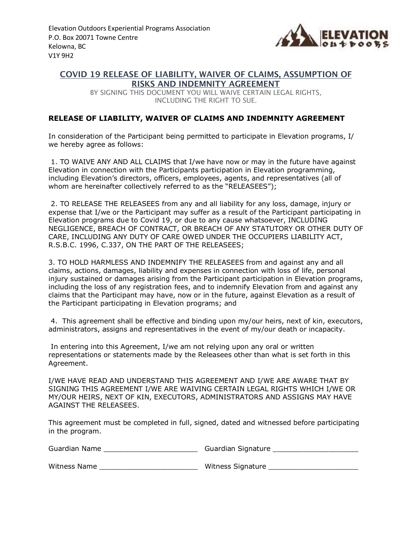

#### **COVID 19 RELEASE OF LIABILITY, WAIVER OF CLAIMS, ASSUMPTION OF RISKS AND INDEMNITY AGREEMENT**

BY SIGNING THIS DOCUMENT YOU WILL WAIVE CERTAIN LEGAL RIGHTS, INCLUDING THE RIGHT TO SUE.

#### **RELEASE OF LIABILITY, WAIVER OF CLAIMS AND INDEMNITY AGREEMENT**

In consideration of the Participant being permitted to participate in Elevation programs, I/ we hereby agree as follows:

1. TO WAIVE ANY AND ALL CLAIMS that I/we have now or may in the future have against Elevation in connection with the Participants participation in Elevation programming, including Elevation's directors, officers, employees, agents, and representatives (all of whom are hereinafter collectively referred to as the "RELEASEES");

2. TO RELEASE THE RELEASEES from any and all liability for any loss, damage, injury or expense that I/we or the Participant may suffer as a result of the Participant participating in Elevation programs due to Covid 19, or due to any cause whatsoever, INCLUDING NEGLIGENCE, BREACH OF CONTRACT, OR BREACH OF ANY STATUTORY OR OTHER DUTY OF CARE, INCLUDING ANY DUTY OF CARE OWED UNDER THE OCCUPIERS LIABILITY ACT, R.S.B.C. 1996, C.337, ON THE PART OF THE RELEASEES;

3. TO HOLD HARMLESS AND INDEMNIFY THE RELEASEES from and against any and all claims, actions, damages, liability and expenses in connection with loss of life, personal injury sustained or damages arising from the Participant participation in Elevation programs, including the loss of any registration fees, and to indemnify Elevation from and against any claims that the Participant may have, now or in the future, against Elevation as a result of the Participant participating in Elevation programs; and

4. This agreement shall be effective and binding upon my/our heirs, next of kin, executors, administrators, assigns and representatives in the event of my/our death or incapacity.

In entering into this Agreement, I/we am not relying upon any oral or written representations or statements made by the Releasees other than what is set forth in this Agreement.

I/WE HAVE READ AND UNDERSTAND THIS AGREEMENT AND I/WE ARE AWARE THAT BY SIGNING THIS AGREEMENT I/WE ARE WAIVING CERTAIN LEGAL RIGHTS WHICH I/WE OR MY/OUR HEIRS, NEXT OF KIN, EXECUTORS, ADMINISTRATORS AND ASSIGNS MAY HAVE AGAINST THE RELEASEES.

This agreement must be completed in full, signed, dated and witnessed before participating in the program.

Witness Name \_\_\_\_\_\_\_\_\_\_\_\_\_\_\_\_\_\_\_\_\_\_\_ Witness Signature \_\_\_\_\_\_\_\_\_\_\_\_\_\_\_\_\_\_\_\_\_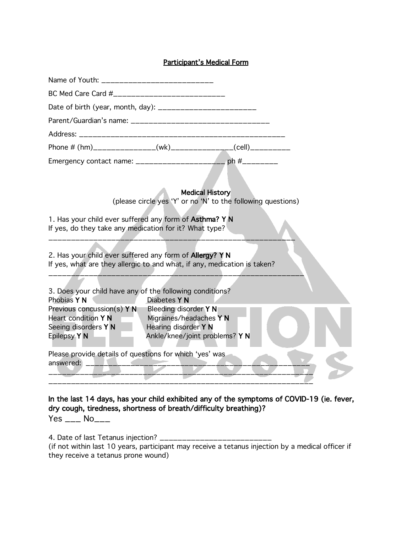#### Participant's Medical Form

| BC Med Care Card #_______________________________                                                                                                                                                                                                                                                                                                                                                                                                                                                                                                                           |  |  |  |  |
|-----------------------------------------------------------------------------------------------------------------------------------------------------------------------------------------------------------------------------------------------------------------------------------------------------------------------------------------------------------------------------------------------------------------------------------------------------------------------------------------------------------------------------------------------------------------------------|--|--|--|--|
| Date of birth (year, month, day): __________________________                                                                                                                                                                                                                                                                                                                                                                                                                                                                                                                |  |  |  |  |
|                                                                                                                                                                                                                                                                                                                                                                                                                                                                                                                                                                             |  |  |  |  |
|                                                                                                                                                                                                                                                                                                                                                                                                                                                                                                                                                                             |  |  |  |  |
| Phone # (hm)_______________(wk)_______________(cell)__________                                                                                                                                                                                                                                                                                                                                                                                                                                                                                                              |  |  |  |  |
| Emergency contact name: _________________________ ph #_________                                                                                                                                                                                                                                                                                                                                                                                                                                                                                                             |  |  |  |  |
|                                                                                                                                                                                                                                                                                                                                                                                                                                                                                                                                                                             |  |  |  |  |
|                                                                                                                                                                                                                                                                                                                                                                                                                                                                                                                                                                             |  |  |  |  |
|                                                                                                                                                                                                                                                                                                                                                                                                                                                                                                                                                                             |  |  |  |  |
|                                                                                                                                                                                                                                                                                                                                                                                                                                                                                                                                                                             |  |  |  |  |
|                                                                                                                                                                                                                                                                                                                                                                                                                                                                                                                                                                             |  |  |  |  |
|                                                                                                                                                                                                                                                                                                                                                                                                                                                                                                                                                                             |  |  |  |  |
|                                                                                                                                                                                                                                                                                                                                                                                                                                                                                                                                                                             |  |  |  |  |
|                                                                                                                                                                                                                                                                                                                                                                                                                                                                                                                                                                             |  |  |  |  |
|                                                                                                                                                                                                                                                                                                                                                                                                                                                                                                                                                                             |  |  |  |  |
|                                                                                                                                                                                                                                                                                                                                                                                                                                                                                                                                                                             |  |  |  |  |
| Diabetes Y N<br>Phobias Y N                                                                                                                                                                                                                                                                                                                                                                                                                                                                                                                                                 |  |  |  |  |
| Previous concussion(s) $Y N$<br>Bleeding disorder Y N                                                                                                                                                                                                                                                                                                                                                                                                                                                                                                                       |  |  |  |  |
|                                                                                                                                                                                                                                                                                                                                                                                                                                                                                                                                                                             |  |  |  |  |
| Ankle/knee/joint problems? Y N<br>Epilepsy Y N                                                                                                                                                                                                                                                                                                                                                                                                                                                                                                                              |  |  |  |  |
|                                                                                                                                                                                                                                                                                                                                                                                                                                                                                                                                                                             |  |  |  |  |
| answered: __________________________                                                                                                                                                                                                                                                                                                                                                                                                                                                                                                                                        |  |  |  |  |
|                                                                                                                                                                                                                                                                                                                                                                                                                                                                                                                                                                             |  |  |  |  |
|                                                                                                                                                                                                                                                                                                                                                                                                                                                                                                                                                                             |  |  |  |  |
| <b>Medical History</b><br>(please circle yes 'Y' or no 'N' to the following questions)<br>1. Has your child ever suffered any form of Asthma? YN<br>If yes, do they take any medication for it? What type?<br>2. Has your child ever suffered any form of Allergy? Y N<br>If yes, what are they allergic to and what, if any, medication is taken?<br>3. Does your child have any of the following conditions?<br>Migraines/headaches Y N<br>Heart condition Y N<br>Hearing disorder Y N<br>Seeing disorders Y N<br>Please provide details of questions for which 'yes' was |  |  |  |  |

In the last 14 days, has your child exhibited any of the symptoms of COVID-19 (ie. fever, dry cough, tiredness, shortness of breath/difficulty breathing)?  $Yes$   $\_\_$  No $\_\_$ 

4. Date of last Tetanus injection? \_\_\_\_\_\_\_

(if not within last 10 years, participant may receive a tetanus injection by a medical officer if they receive a tetanus prone wound)